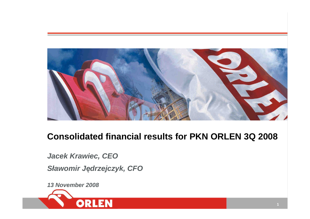

# **Consolidated financial results for PKN ORLEN 3Q 2008**

**Jacek Krawiec, CEOSławomir J**ę**drzejczyk, CFO**

**13 November 2008**

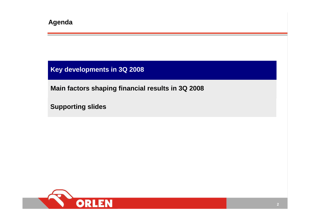**Key developments in 3Q 2008**

**Main factors shaping financial results in 3Q 2008**

**Supporting slides**

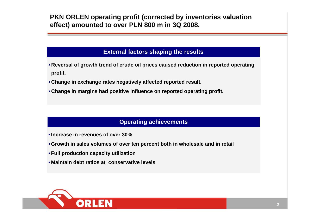**PKN ORLEN operating profit (corrected by inventories valuation effect) amounted to over PLN 800 m in 3Q 2008.**

#### **External factors shaping the results**

- **Reversal of growth trend of crude oil prices caused reduction in reported operatingprofit.**
- **Change in exchange rates negatively affected reported result.**
- **Change in margins had positive influence on reported operating profit.**

#### **Operating achievements**

- •**Increase in revenues of over 30%**
- •**Growth in sales volumes of over ten percent both in wholesale and in retail**
- •**Full production capacity utilization**
- **Maintain debt ratios at conservative levels**

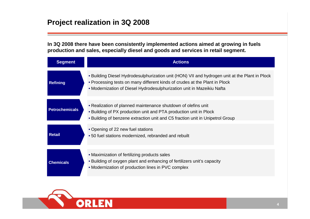## **Project realization in 3Q 2008**

**In 3Q 2008 there have been consistently implemented actions aimed at growing in fuels production and sales, especially diesel and goods and services in retail segment.**

| <b>Segment</b>        | <b>Actions</b>                                                                                                                                                                                                                                         |
|-----------------------|--------------------------------------------------------------------------------------------------------------------------------------------------------------------------------------------------------------------------------------------------------|
| <b>Refining</b>       | • Building Diesel Hydrodesulphurization unit (HON) VII and hydrogen unit at the Plant in Plock<br>• Processing tests on many different kinds of crudes at the Plant in Plock<br>• Modernization of Diesel Hydrodesulphurization unit in Mazeikiu Nafta |
| <b>Petrochemicals</b> | • Realization of planned maintenance shutdown of olefins unit<br>. Building of PX production unit and PTA production unit in Plock<br>• Building of benzene extraction unit and C5 fraction unit in Unipetrol Group                                    |
| <b>Retail</b>         | • Opening of 22 new fuel stations<br>•50 fuel stations modernized, rebranded and rebuilt                                                                                                                                                               |
| <b>Chemicals</b>      | • Maximization of fertilizing products sales<br>• Building of oxygen plant and enhancing of fertilizers unit's capacity<br>• Modernization of production lines in PVC complex                                                                          |

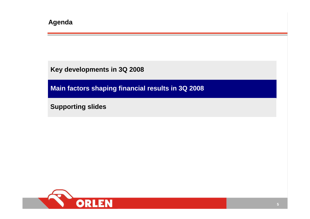**Key developments in 3Q 2008**

**Main factors shaping financial results in 3Q 2008**

**Supporting slides**

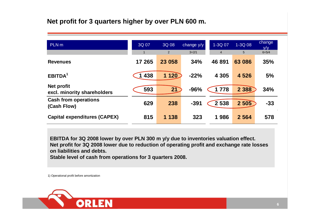#### **Net profit for 3 quarters higher by over PLN 600 m.**

| PLN <sub>m</sub>                                 | 3Q 07   | 3Q 08   | change y/y | 1-3Q 07        | 1-3Q 08 | change<br>V/V |
|--------------------------------------------------|---------|---------|------------|----------------|---------|---------------|
|                                                  |         | 2       | $3=2/1$    | $\overline{4}$ | 5       | $6 = 5/4$     |
| <b>Revenues</b>                                  | 17 265  | 23 058  | 34%        | 46 891         | 63 086  | 35%           |
| EBITDA <sup>1</sup>                              | 1 4 3 8 | 1 1 20  | $-22%$     | 4 3 0 5        | 4 5 2 6 | 5%            |
| <b>Net profit</b><br>excl. minority shareholders | 593     | 21      | $-96%$     | 1 7 7 8        | 2 3 8 8 | 34%           |
| <b>Cash from operations</b><br>(Cash Flow)       | 629     | 238     | $-391$     | 2 5 3 8        | 2 505   | $-33$         |
| <b>Capital expenditures (CAPEX)</b>              | 815     | 1 1 3 8 | 323        | 1986           | 2 5 6 4 | 578           |

**EBITDA for 3Q 2008 lower by over PLN 300 m y/y due to inventories valuation effect. Net profit for 3Q 2008 lower due to reduction of operating profit and exchange rate losses on liabilities and debts.** 

**Stable level of cash from operations for 3 quarters 2008.**

1) Operational profit before amortization

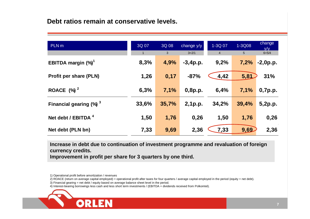**Debt ratios remain at conservative levels.**

| PLN <sub>m</sub>                      | 3Q 07<br>$\overline{1}$ | 3Q 08<br>$\mathbf{3}$ | change y/y<br>$3=2/1$ | 1-3Q 07<br>$\overline{4}$ | 1-3Q08<br>5 <sup>5</sup> | change<br>V/V<br>$6 = 5/4$ |
|---------------------------------------|-------------------------|-----------------------|-----------------------|---------------------------|--------------------------|----------------------------|
| EBITDA margin $(\%)^1$                | 8,3%                    | 4,9%                  | $-3,4p.p.$            | 9,2%                      | 7,2%                     | $-2,0p.p.$                 |
| <b>Profit per share (PLN)</b>         | 1,26                    | 0,17                  | $-87%$                | 4,42                      | 5,81                     | 31%                        |
| ROACE $(%)^2$                         | 6,3%                    | 7,1%                  | 0,8p.p.               | 6,4%                      | 7,1%                     | 0,7p.p.                    |
| Financial gearing $(\%)$ <sup>3</sup> | 33,6%                   | 35,7%                 | 2,1p.p.               | 34,2%                     | 39,4%                    | 5,2p.p.                    |
| Net debt / EBITDA <sup>4</sup>        | 1,50                    | 1,76                  | 0,26                  | 1,50                      | 1,76                     | 0,26                       |
| Net debt (PLN bn)                     | 7,33                    | 9,69                  | 2,36                  | 7,33                      | 9,69                     | 2,36                       |

**Increase in debt due to continuation of investment programme and revaluation of foreign currency credits.Improvement in profit per share for 3 quarters by one third.**

1) Operational profit before amortization / revenues

2) ROACE (return on average capital employed) = operational profit after taxes for four quarters / average capital employed in the period (equity + net debt).

3) Financial gearing = net debt / equity based on average balance sheet level in the period.

4) Interest-bearing borrowings less cash and less short term investments / (EBITDA + dividends received from Polkomtel).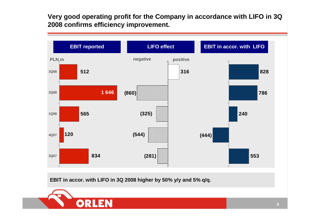**Very good operating profit for the Company in accordance with LIFO in 3Q 2008 confirms efficiency improvement.**



**EBIT in accor. with LIFO in 3Q 2008 higher by 50% y/y and 5% q/q.**

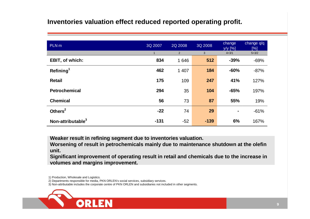#### **Inventories valuation effect reduced reported operating profit.**

| PLN <sub>m</sub>              | 3Q 2007 | 2Q 2008 | 3Q 2008 | change<br>y/y [%]   | change $q/q$<br>[%] |
|-------------------------------|---------|---------|---------|---------------------|---------------------|
|                               | 1.      | 2       | 3       | $4 = 3/1$<br>$-39%$ | $5 = 3/2$           |
| <b>EBIT, of which:</b>        | 834     | 1646    | 512     |                     | $-69%$              |
| Refining <sup>1</sup>         | 462     | 1 407   | 184     | $-60%$              | $-87%$              |
| <b>Retail</b>                 | 175     | 109     | 247     | 41%                 | 127%                |
| <b>Petrochemical</b>          | 294     | 35      | 104     | $-65%$              | 197%                |
| <b>Chemical</b>               | 56      | 73      | 87      | 55%                 | 19%                 |
| Others $2$                    | $-22$   | 74      | 29      | $\blacksquare$      | $-61%$              |
| Non-attributable <sup>3</sup> | $-131$  | $-52$   | $-139$  | 6%                  | 167%                |

**Weaker result in refining segment due to inventories valuation.**

 **Worsening of result in petrochemicals mainly due to maintenance shutdown at the olefin unit.**

 **Significant improvement of operating result in retail and chemicals due to the increase in volumes and margins improvement.** 

1) Production, Wholesale and Logistics.

2) Departments responsible for media, PKN ORLEN's social services, subsidiary services.

3) Non-attributable includes the corporate centre of PKN ORLEN and subsidiaries not included in other segments.

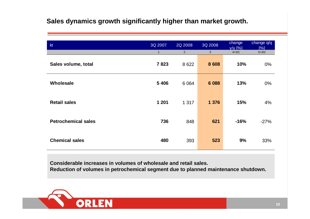#### **Sales dynamics growth significantly higher than market growth.**

| kt                         | 3Q 2007<br>$\mathbf{1}$ | 2Q 2008<br>$\overline{2}$ | 3Q 2008<br>$\mathbf{3}$ | change<br>$y/y$ [%]<br>$4=3/1$ | change q/q<br>[%]<br>$5 = 3/2$ |
|----------------------------|-------------------------|---------------------------|-------------------------|--------------------------------|--------------------------------|
| Sales volume, total        | 7823                    | 8 6 22                    | 8 6 0 8                 | 10%                            | $0\%$                          |
| Wholesale                  | 5 4 0 6                 | 6 0 64                    | 6 0 88                  | 13%                            | $0\%$                          |
| <b>Retail sales</b>        | 1 201                   | 1 3 1 7                   | 1 3 7 6                 | 15%                            | 4%                             |
| <b>Petrochemical sales</b> | 736                     | 848                       | 621                     | $-16%$                         | $-27%$                         |
| <b>Chemical sales</b>      | 480                     | 393                       | 523                     | 9%                             | 33%                            |

**Considerable increases in volumes of wholesale and retail sales.Reduction of volumes in petrochemical segment due to planned maintenance shutdown.** 

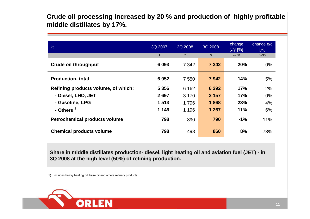**Crude oil processing increased by 20 % and production of highly profitable middle distillates by 17%.**

| kt                                   | 3Q 2007      | 2Q 2008 | 3Q 2008 | change<br>$y/y$ [%] | change $q/q$<br>[%] |
|--------------------------------------|--------------|---------|---------|---------------------|---------------------|
|                                      | $\mathbf{1}$ | 2       | 3       | $4 = 3/1$           | $5 = 3/2$           |
| <b>Crude oil throughput</b>          | 6 0 9 3      | 7 3 4 2 | 7 3 4 2 | 20%                 | $0\%$               |
| <b>Production, total</b>             | 6952         | 7 5 5 0 | 7942    | 14%                 | 5%                  |
| Refining products volume, of which:  | 5 3 5 6      | 6 1 6 2 | 6 2 9 2 | 17%                 | 2%                  |
| - Diesel, LHO, JET                   | 2697         | 3 1 7 0 | 3 1 5 7 | 17%                 | 0%                  |
| - Gasoline, LPG                      | 1513         | 1796    | 1868    | 23%                 | 4%                  |
| - Others <sup>1</sup>                | 1 1 4 6      | 1 1 9 6 | 1 267   | 11%                 | 6%                  |
| <b>Petrochemical products volume</b> | 798          | 890     | 790     | $-1%$               | $-11%$              |
| <b>Chemical products volume</b>      | 798          | 498     | 860     | 8%                  | 73%                 |

**Share in middle distillates production- diesel, light heating oil and aviation fuel (JET) - in 3Q 2008 at the high level (50%) of refining production.**

1) Includes heavy heating oil, base oil and others refinery products.

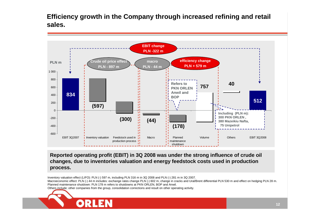**Efficiency growth in the Company through increased refining and retail sales.**



**Reported operating profit (EBIT) in 3Q 2008 was under the strong influence of crude oil changes, due to inventories valuation and energy feedstock costs used in production process.**

Inventory valuation effect (LIFO): PLN (-) 597 m, including PLN 316 m in 3Q 2008 and PLN (-) 281 m in 3Q 2007.

Macroeconomic effect: PLN (-) 44 m includes: exchange rates change PLN (-) 602 m, change in cracks and Ural/Brent differential PLN 530 m and effect on hedging PLN 28 m. Planned maintenance shutdown: PLN 178 m refers to shutdowns at PKN ORLEN, BOP and Anwil.

Others include: other companies from the group, consolidation corrections and result on other operating activity.

OR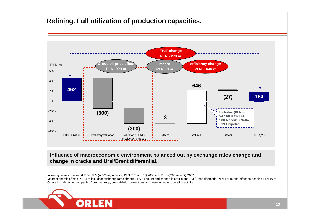#### **Refining. Full utilization of production capacities.**



**Influence of macroeconomic environment balanced out by exchange rates change and change in cracks and Ural/Brent differential.** 

Inventory valuation effect (LIFO): PLN (-) 600 m, including PLN 317 m in 3Q 2008 and PLN (-)283 m in 3Q 2007. Macroeconomic effect : PLN 3 m includes: exchange rates change PLN (-) 483 m and change in cracks and Ural/Brent differential PLN 476 m and effect on hedging PLN 10 m.<br>Others include allege secure also the secure concert i Others include: other companies from the group, consolidation corrections and result on other operating activity.

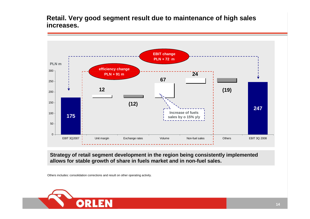**Retail. Very good segment result due to maintenance of high sales increases.**



**Strategy of retail segment development in the region being consistently implemented allows for stable growth of share in fuels market and in non-fuel sales.**

Others includes: consolidation corrections and result on other operating activity.

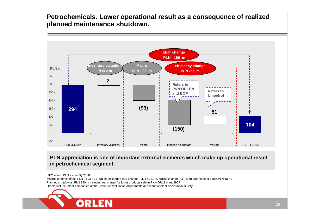**Petrochemicals. Lower operational result as a consequence of realized planned maintenance shutdown.**



**PLN appreciation is one of important external elements which make up operational result in petrochemical segment.** 

LIFO effect: PLN 2 m in 3Q 2008.

 Macroeconomic effect: PLN (-) 93 m, of which: exchange rate change PLN (-) 121 m, cracks change PLN 41 m and hedging effect PLN 18 m. Planned shutdowns: PLN 150 m includes lost margin for lower products sale in PKN ORLEN and BOP.Others include: other companies of the Group, consolidation adjustments and result of other operational activity.

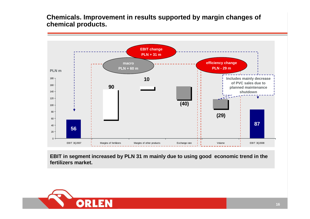**Chemicals. Improvement in results supported by margin changes ofchemical products.**



**EBIT in segment increased by PLN 31 m mainly due to using good economic trend in the fertilizers market.**

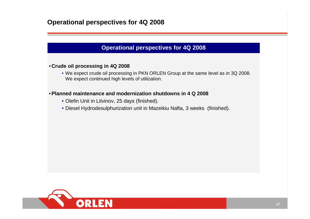#### **Operational perspectives for 4Q 2008**

#### **Operational perspectives for 4Q 2008**

#### • **Crude oil processing in 4Q 2008**

 • We expect crude oil processing in PKN ORLEN Group at the same level as in 3Q 2008. We expect continued high levels of utilization.

#### •**Planned maintenance and modernization shutdowns in 4 Q 2008**

- Olefin Unit in Litvinov, 25 days (finished).
- Diesel Hydrodesulphurization unit in Mazeikiu Nafta, 3 weeks (finished).

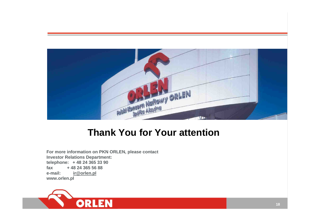

# **Thank You for Your attention**

**For more information on PKN ORLEN, please contact Investor Relations Department:telephone: + 48 24 365 33 90fax + 48 24 365 56 88e-mail: ir@orlen.plwww.orlen.pl**

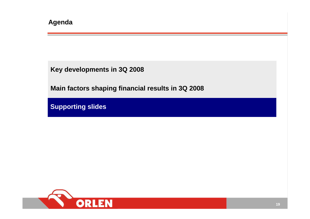**Key developments in 3Q 2008**

**Main factors shaping financial results in 3Q 2008**

**Supporting slides**

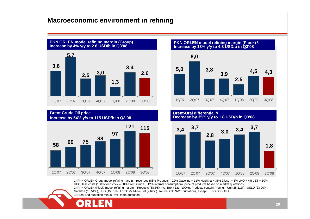#### **Macroeconomic environment in refining**





**PKN ORLEN model refining margin (Plock) 2) Increase by 13% y/y to 4.3 USD/b in Q3'08**





1) PKN ORLEN Group model refining margin = revenues (88% Products = 22% Gasoline + 11% Naphtha + 38% Diesel + 3% LHO + 4% JET + 10% HHO) less costs (100% feedstock = 88% Brent Crude + 12% internal consumption); price of products based on market quotations. 2) PKN ORLEN (Plock) model refining margin = Products (88.36%) vs. Brent Dtd (100%). Products contain Premium Unl (25.21%), USLD (23.20%), Naphtha (16.51%), LHO (15.31%), HSFO (5.44%) i Jet (2.69%). source: CIF NWE quotations, except HSFO FOB ARA 3) Brent Dtd quotation minus Ural Rdam quotation.

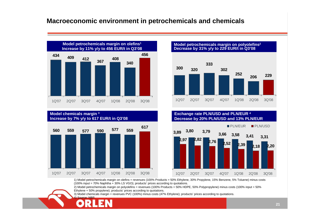#### **Macroeconomic environment in petrochemicals and chemicals**





#### **320 302252 206 <sup>229</sup> 300333Model petrochemicals margin on polyolefins<sup>2</sup> Decrease by 31% y/y to 229 EUR/t in Q3'08**

# 1Q'07 2Q'07 3Q'07 4Q'07 1Q'08 2Q'08 3Q'08

#### **Exchange rate PLN/USD and PLN/EUR <sup>4</sup> Decrease by 20% PLN/USD and 13% PLN/EUR**



1) Model petrochemicals margin on olefins = revenues (100% Products = 50% Ethylene, 30% Propylene, 15% Benzene, 5% Toluene) minus costs (100% input = 70% Naphtha + 30% LS VGO); products' prices according to quotations.

2) Model petrochemicals margin on polyolefins = revenues (100% Products = 50% HDPE, 50% Polypropylene) minus costs (100% input = 50% Ethylene + 50% propylene); products' prices according to quotations.

3) Model chemicals margin = revenues PVC (100%) minus costs (47% Ethylene); products' prices according to quotations. 4) Source: NBP.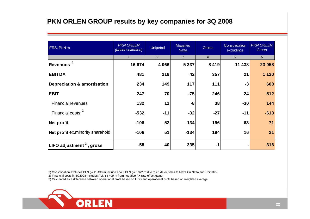#### **PKN ORLEN GROUP results by key companies for 3Q 2008**

| <b>IFRS, PLN m</b>                     | <b>PKN ORLEN</b><br>(unconsolidated) | <b>Unipetrol</b> | <b>Mazeikiu</b><br><b>Nafta</b> | <b>Others</b>  | Consolidation<br>excludings | <b>PKN ORLEN</b><br>Group |
|----------------------------------------|--------------------------------------|------------------|---------------------------------|----------------|-----------------------------|---------------------------|
|                                        | $\mathbf{1}$                         | 2                | 3                               | $\overline{4}$ | 5                           | 6                         |
| <b>Revenues</b>                        | 16 674                               | 4 0 6 6          | 5 3 3 7                         | 8 4 1 9        | $-11438$                    | 23 058                    |
| <b>EBITDA</b>                          | 481                                  | 219              | 42                              | 357            | 21                          | 1 1 2 0                   |
| <b>Depreciation &amp; amortisation</b> | 234                                  | 149              | 117                             | 111            | $-3$                        | 608                       |
| <b>EBIT</b>                            | 247                                  | 70               | $-75$                           | 246            | 24                          | 512                       |
| <b>Financial revenues</b>              | 132                                  | 11               | -8                              | 38             | $-30$                       | 144                       |
| <b>Financial costs</b>                 | $-532$                               | $-11$            | $-32$                           | $-27$          | $-11$                       | $-613$                    |
| Net profit                             | $-106$                               | 52               | $-134$                          | 196            | 63                          | 71                        |
| Net profit ex.minority sharehold.      | $-106$                               | 51               | $-134$                          | 194            | 16                          | 21                        |
| LIFO adjustment $3$ , gross            | $-58$                                | 40               | 335                             | $-1$           |                             | 316                       |

1) Consolidation excludes PLN (-) 11 438 m include about PLN (-) 6 372 m due to crude oil sales to Mazeikiu Nafta and Unipetrol

2) Financial costs in 3Q2008 includes PLN (-) 409 m from negative FX rate effect gains.

3) Calculated as a difference between operational profit based on LIFO and operational profit based on weighted average.

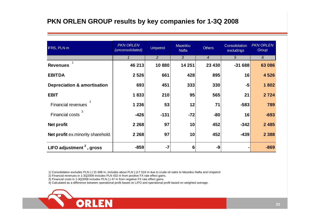#### **PKN ORLEN GROUP results by key companies for 1-3Q 2008**

| IFRS, PLN m                            | <b>PKN ORLEN</b><br>(unconsolidated) | <b>Unipetrol</b> | Mazeikiu<br><b>Nafta</b> | <b>Others</b>    | Consolidation<br>excludings | <b>PKN ORLEN</b><br>Group |
|----------------------------------------|--------------------------------------|------------------|--------------------------|------------------|-----------------------------|---------------------------|
|                                        | 1                                    | 2                | 3                        | $\boldsymbol{4}$ | 5                           | 6                         |
| <b>Revenues</b>                        | 46 213                               | 10880            | 14 251                   | 23 4 30          | $-31688$                    | 63 086                    |
| <b>EBITDA</b>                          | 2 5 2 6                              | 661              | 428                      | 895              | 16                          | 4526                      |
| <b>Depreciation &amp; amortisation</b> | 693                                  | 451              | 333                      | 330              | $-5$                        | 1802                      |
| <b>EBIT</b>                            | 1833                                 | 210              | 95                       | 565              | 21                          | 2724                      |
| <b>Financial revenues</b>              | 1 2 3 6                              | 53               | 12                       | 71               | $-583$                      | 789                       |
| З<br><b>Financial costs</b>            | $-426$                               | $-131$           | $-72$                    | -80              | 16                          | $-693$                    |
| Net profit                             | 2 2 6 8                              | 97               | 10                       | 452              | $-342$                      | 2 4 8 5                   |
| Net profit ex.minority sharehold.      | 2 2 6 8                              | 97               | 10                       | 452              | $-439$                      | 2 3 8 8                   |
| LIFO adjustment $2$ , gross            | $-859$                               | $-7$             | 6                        | -9               |                             | $-869$                    |

1) Consolidation excludes PLN (-) 31 688 m, includes about PLN (-)17 516 m due to crude oil sales to Mazeikiu Nafta and Unipetrol

- 2) Financial revenues in 1-3Q2008 includes PLN 432 m from positive FX rate effect gains.
- 3) Financial costs in 1-3Q2008 includes PLN (-) 47 m from negative FX rate effect gains.

4) Calculated as a difference between operational profit based on LIFO and operational profit based on weighted average.

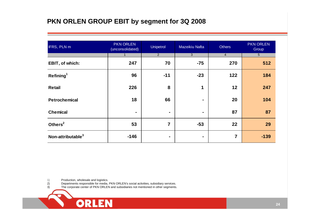## **PKN ORLEN GROUP EBIT by segment for 3Q 2008**

| IFRS, PLN m                   | <b>PKN ORLEN</b><br>(unconsolidated) | <b>Unipetrol</b> | Mazeikiu Nafta | <b>Others</b>  | <b>PKN ORLEN</b><br>Group |
|-------------------------------|--------------------------------------|------------------|----------------|----------------|---------------------------|
|                               |                                      | $\overline{2}$   | $\overline{3}$ | $\overline{4}$ | 5                         |
| EBIT, of which:               | 247                                  | 70               | $-75$          | 270            | 512                       |
| Refining <sup>1</sup>         | 96                                   | $-11$            | $-23$          | 122            | 184                       |
| <b>Retail</b>                 | 226                                  | 8                | 1              | 12             | 247                       |
| <b>Petrochemical</b>          | 18                                   | 66               | $\blacksquare$ | 20             | 104                       |
| <b>Chemical</b>               | $\blacksquare$                       | $\blacksquare$   | $\blacksquare$ | 87             | 87                        |
| Others <sup>2</sup>           | 53                                   | $\overline{7}$   | $-53$          | 22             | 29                        |
| Non-attributable <sup>3</sup> | $-146$                               | ۰                | ٠              | 7              | $-139$                    |

 $\begin{pmatrix} 1 \\ 2 \\ 3 \end{pmatrix}$ Production, wholesale and logistics.

**ORLEN** 

2) Departments responsible for media, PKN ORLEN's social activities, subsidiary services.

3) The corporate center of PKN ORLEN and subsidiaries not mentioned in other segments.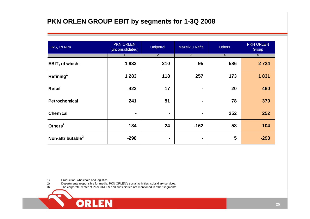#### **PKN ORLEN GROUP EBIT by segments for 1-3Q 2008**

| IFRS, PLN m                   | <b>PKN ORLEN</b><br>(unconsolidated) | Unipetrol      | Mazeikiu Nafta | <b>Others</b>  | <b>PKN ORLEN</b><br>Group |
|-------------------------------|--------------------------------------|----------------|----------------|----------------|---------------------------|
|                               |                                      | $\overline{2}$ | $\overline{3}$ | $\overline{4}$ | $\overline{5}$            |
| EBIT, of which:               | 1833                                 | 210            | 95             | 586            | 2 7 2 4                   |
| Refining <sup>1</sup>         | 1 2 8 3                              | 118            | 257            | 173            | 1831                      |
| <b>Retail</b>                 | 423                                  | 17             | $\blacksquare$ | 20             | 460                       |
| <b>Petrochemical</b>          | 241                                  | 51             | $\blacksquare$ | 78             | 370                       |
| <b>Chemical</b>               | $\blacksquare$                       | $\blacksquare$ | ٠              | 252            | 252                       |
| Others <sup>2</sup>           | 184                                  | 24             | $-162$         | 58             | 104                       |
| Non-attributable <sup>3</sup> | $-298$                               | $\blacksquare$ | ۰              | 5              | $-293$                    |

 $\begin{pmatrix} 1 \\ 2 \\ 3 \end{pmatrix}$ Production, wholesale and logistics.

**ORLEN** 

2) Departments responsible for media, PKN ORLEN's social activities, subsidiary services.

3) The corporate center of PKN ORLEN and subsidiaries not mentioned in other segments.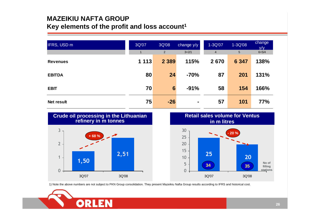#### **MAZEIKIU NAFTA GROUPKey elements of the profit and loss account1**

| IFRS, USD m       | 3Q'07<br>1 | 3Q'08<br>2      | change y/y<br>$3=2/1$ | 1-3Q'07<br>$\overline{4}$ | 1-3Q'08<br>5 | change<br>V/V<br>$6 = 5/4$ |
|-------------------|------------|-----------------|-----------------------|---------------------------|--------------|----------------------------|
| <b>Revenues</b>   | 1 1 1 3    | 2 3 8 9         | 115%                  | 2670                      | 6 3 4 7      | 138%                       |
| <b>EBITDA</b>     | 80         | 24              | $-70%$                | 87                        | 201          | 131%                       |
| <b>EBIT</b>       | 70         | $6\phantom{1}6$ | $-91%$                | 58                        | 154          | 166%                       |
| <b>Net result</b> | 75         | $-26$           | $\blacksquare$        | 57                        | 101          | <b>77%</b>                 |



1) Note the above numbers are not subject to PKN Group consolidation. They present Mazeikiu Nafta Group results according to IFRS and historical cost.

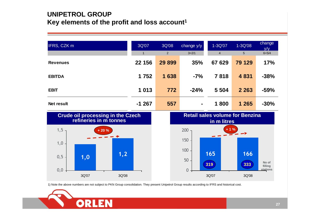### **UNIPETROL GROUPKey elements of the profit and loss account<sup>1</sup>**

| IFRS, CZK m     | 3Q'07<br>$\blacksquare$ | 3Q'08<br>2 | change y/y<br>$3=2/1$ | 1-3Q'07<br>$\overline{4}$ | 1-3Q'08<br>5 | change<br>y/y<br>$6 = 5/4$ |
|-----------------|-------------------------|------------|-----------------------|---------------------------|--------------|----------------------------|
| <b>Revenues</b> | 22 156                  | 29 899     | 35%                   | 67 629                    | 79 129       | 17%                        |
| <b>EBITDA</b>   | 1 7 5 2                 | 1 638      | $-7%$                 | 7818                      | 4 8 31       | $-38%$                     |
| <b>EBIT</b>     | 1 0 1 3                 | 772        | $-24%$                | 5 5 0 4                   | 2 2 6 3      | $-59%$                     |
| Net result      | $-1267$                 | 557        | $\blacksquare$        | 1800                      | 1 2 6 5      | $-30%$                     |





1) Note the above numbers are not subject to PKN Group consolidation. They present Unipetrol Group results according to IFRS and historical cost.